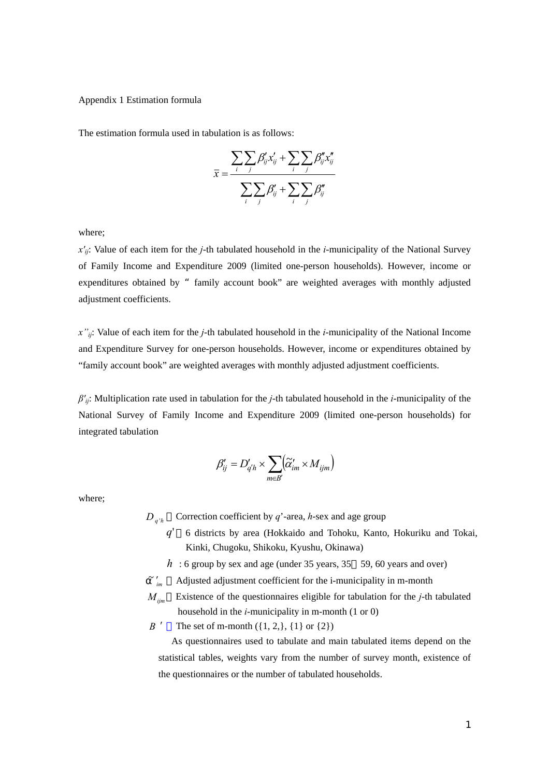## Appendix 1 Estimation formula

The estimation formula used in tabulation is as follows:

$$
\overline{x} = \frac{\sum_{i} \sum_{j} \beta'_{ij} x'_{ij} + \sum_{i} \sum_{j} \beta''_{ij} x''_{ij}}{\sum_{i} \sum_{j} \beta'_{ij} + \sum_{i} \sum_{j} \beta''_{ij}}
$$

where;

*x'ij*: Value of each item for the *j*-th tabulated household in the *i*-municipality of the National Survey of Family Income and Expenditure 2009 (limited one-person households). However, income or expenditures obtained by "family account book" are weighted averages with monthly adjusted adjustment coefficients.

*x''ij*: Value of each item for the *j*-th tabulated household in the *i*-municipality of the National Income and Expenditure Survey for one-person households. However, income or expenditures obtained by "family account book" are weighted averages with monthly adjusted adjustment coefficients.

*β'ij*: Multiplication rate used in tabulation for the *j*-th tabulated household in the *i*-municipality of the National Survey of Family Income and Expenditure 2009 (limited one-person households) for integrated tabulation

$$
\beta'_{ij} = D'_{q'h} \times \sum_{m \in B'} (\widetilde{\alpha}'_{im} \times M_{ijm})
$$

where;

 $D_{a^{\prime}h}$  Correction coefficient by *q*'-area, *h*-sex and age group

- *q*' 6 districts by area (Hokkaido and Tohoku, Kanto, Hokuriku and Tokai, Kinki, Chugoku, Shikoku, Kyushu, Okinawa)
- $h$ : 6 group by sex and age (under 35 years, 35 59, 60 years and over)

 $\tilde{m}'$  Adjusted adjustment coefficient for the i-municipality in m-month

*Mijm* Existence of the questionnaires eligible for tabulation for the *j*-th tabulated household in the *i*-municipality in m-month (1 or 0)

*B*  $'$  The set of m-month  $({1, 2}, {1}$  or  ${2})$ 

As questionnaires used to tabulate and main tabulated items depend on the statistical tables, weights vary from the number of survey month, existence of the questionnaires or the number of tabulated households.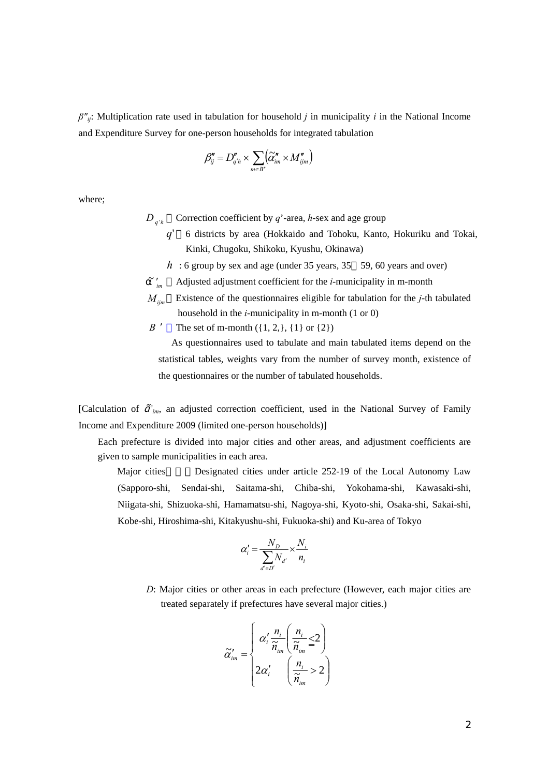*β"ij*: Multiplication rate used in tabulation for household *j* in municipality *i* in the National Income and Expenditure Survey for one-person households for integrated tabulation

$$
\beta''_{ij} = D''_{q'h} \times \sum_{m \in B''} (\widetilde{\alpha''_{im}} \times M''_{ijm})
$$

where;

- $D_{a'b}$  Correction coefficient by *q*'-area, *h*-sex and age group
	- *q*' 6 districts by area (Hokkaido and Tohoku, Kanto, Hokuriku and Tokai, Kinki, Chugoku, Shikoku, Kyushu, Okinawa)
	- *h* : 6 group by sex and age (under 35 years, 35 59, 60 years and over)
	- Adjusted adjustment coefficient for the *i*-municipality in m-month
- *Mijm* Existence of the questionnaires eligible for tabulation for the *j*-th tabulated household in the *i*-municipality in m-month (1 or 0)
- *B*  $'$  The set of m-month  $({1, 2}, {1}$  or  ${2})$

As questionnaires used to tabulate and main tabulated items depend on the statistical tables, weights vary from the number of survey month, existence of the questionnaires or the number of tabulated households.

[Calculation of ᾶ*'im*, an adjusted correction coefficient, used in the National Survey of Family Income and Expenditure 2009 (limited one-person households)]

Each prefecture is divided into major cities and other areas, and adjustment coefficients are given to sample municipalities in each area.

Major cities besignated cities under article 252-19 of the Local Autonomy Law (Sapporo-shi, Sendai-shi, Saitama-shi, Chiba-shi, Yokohama-shi, Kawasaki-shi, Niigata-shi, Shizuoka-shi, Hamamatsu-shi, Nagoya-shi, Kyoto-shi, Osaka-shi, Sakai-shi, Kobe-shi, Hiroshima-shi, Kitakyushu-shi, Fukuoka-shi) and Ku-area of Tokyo

$$
\alpha'_{i} = \frac{N_{D}}{\sum_{d' \in D'} N_{d'}} \times \frac{N_{i}}{n_{i}}
$$

*D*: Major cities or other areas in each prefecture (However, each major cities are treated separately if prefectures have several major cities.)

$$
\widetilde{\alpha}'_{im} = \begin{cases}\n\alpha'_i \frac{n_i}{\widetilde{n}_{im}} \left( \frac{n_i}{\widetilde{n}_{im}} \leq 2 \right) \\
2\alpha'_i \left( \frac{n_i}{\widetilde{n}_{im}} > 2 \right)\n\end{cases}
$$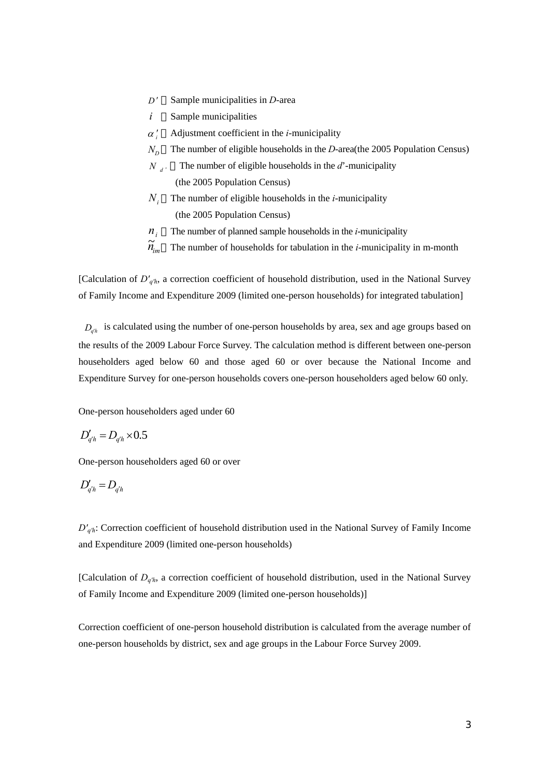- *D* ′ Sample municipalities in *D*-area
- *i* Sample municipalities
- <sup>α</sup> *<sup>i</sup>* ′ Adjustment coefficient in the *i*-municipality
- $N<sub>p</sub>$  The number of eligible households in the *D*-area(the 2005 Population Census)
- $N_{d}$  The number of eligible households in the *d*'-municipality (the 2005 Population Census)
- *Ni* The number of eligible households in the *i*-municipality (the 2005 Population Census)
- $n_i$  The number of planned sample households in the *i*-municipality
- $\widetilde{n}_{\rm m}$ The number of households for tabulation in the *i*-municipality in m-month

[Calculation of *D'q'h*, a correction coefficient of household distribution, used in the National Survey of Family Income and Expenditure 2009 (limited one-person households) for integrated tabulation]

 $D_{ab}$  is calculated using the number of one-person households by area, sex and age groups based on the results of the 2009 Labour Force Survey. The calculation method is different between one-person householders aged below 60 and those aged 60 or over because the National Income and Expenditure Survey for one-person households covers one-person householders aged below 60 only.

One-person householders aged under 60

$$
D'_{q'h} = D_{q'h} \times 0.5
$$

One-person householders aged 60 or over

$$
D'_{q'h} = D_{q'h}
$$

*D'q'h*: Correction coefficient of household distribution used in the National Survey of Family Income and Expenditure 2009 (limited one-person households)

[Calculation of *Dq'h*, a correction coefficient of household distribution, used in the National Survey of Family Income and Expenditure 2009 (limited one-person households)]

Correction coefficient of one-person household distribution is calculated from the average number of one-person households by district, sex and age groups in the Labour Force Survey 2009.